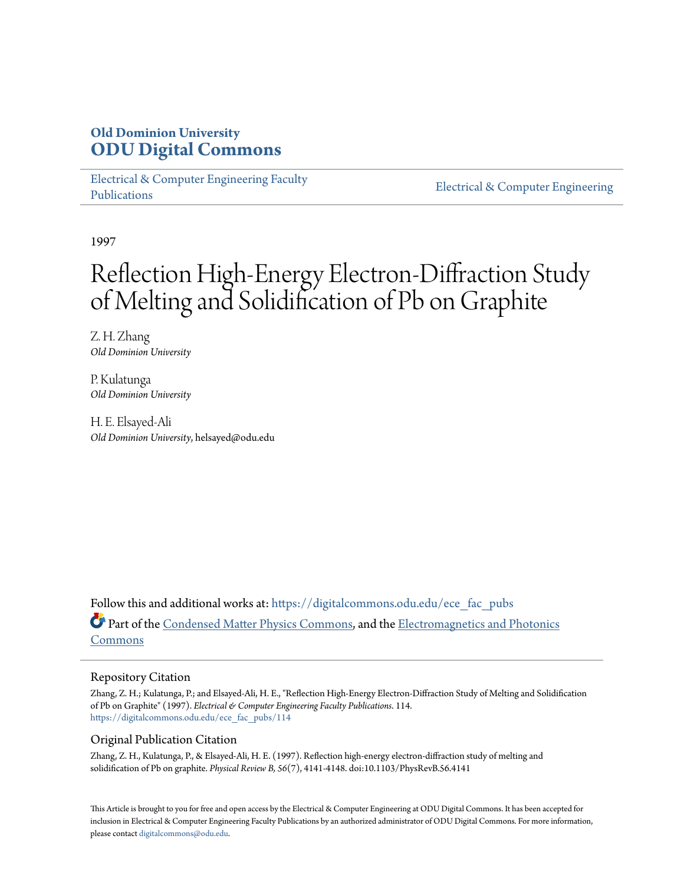# **Old Dominion University [ODU Digital Commons](https://digitalcommons.odu.edu?utm_source=digitalcommons.odu.edu%2Fece_fac_pubs%2F114&utm_medium=PDF&utm_campaign=PDFCoverPages)**

[Electrical & Computer Engineering Faculty](https://digitalcommons.odu.edu/ece_fac_pubs?utm_source=digitalcommons.odu.edu%2Fece_fac_pubs%2F114&utm_medium=PDF&utm_campaign=PDFCoverPages) [Publications](https://digitalcommons.odu.edu/ece_fac_pubs?utm_source=digitalcommons.odu.edu%2Fece_fac_pubs%2F114&utm_medium=PDF&utm_campaign=PDFCoverPages)

[Electrical & Computer Engineering](https://digitalcommons.odu.edu/ece?utm_source=digitalcommons.odu.edu%2Fece_fac_pubs%2F114&utm_medium=PDF&utm_campaign=PDFCoverPages)

1997

# Reflection High-Energy Electron-Diffraction Study of Melting and Solidification of Pb on Graphite

Z. H. Zhang *Old Dominion University*

P. Kulatunga *Old Dominion University*

H. E. Elsayed-Ali *Old Dominion University*, helsayed@odu.edu

Follow this and additional works at: [https://digitalcommons.odu.edu/ece\\_fac\\_pubs](https://digitalcommons.odu.edu/ece_fac_pubs?utm_source=digitalcommons.odu.edu%2Fece_fac_pubs%2F114&utm_medium=PDF&utm_campaign=PDFCoverPages) Part of the [Condensed Matter Physics Commons,](http://network.bepress.com/hgg/discipline/197?utm_source=digitalcommons.odu.edu%2Fece_fac_pubs%2F114&utm_medium=PDF&utm_campaign=PDFCoverPages) and the [Electromagnetics and Photonics](http://network.bepress.com/hgg/discipline/271?utm_source=digitalcommons.odu.edu%2Fece_fac_pubs%2F114&utm_medium=PDF&utm_campaign=PDFCoverPages) [Commons](http://network.bepress.com/hgg/discipline/271?utm_source=digitalcommons.odu.edu%2Fece_fac_pubs%2F114&utm_medium=PDF&utm_campaign=PDFCoverPages)

## Repository Citation

Zhang, Z. H.; Kulatunga, P.; and Elsayed-Ali, H. E., "Reflection High-Energy Electron-Diffraction Study of Melting and Solidification of Pb on Graphite" (1997). *Electrical & Computer Engineering Faculty Publications*. 114. [https://digitalcommons.odu.edu/ece\\_fac\\_pubs/114](https://digitalcommons.odu.edu/ece_fac_pubs/114?utm_source=digitalcommons.odu.edu%2Fece_fac_pubs%2F114&utm_medium=PDF&utm_campaign=PDFCoverPages)

## Original Publication Citation

Zhang, Z. H., Kulatunga, P., & Elsayed-Ali, H. E. (1997). Reflection high-energy electron-diffraction study of melting and solidification of Pb on graphite. *Physical Review B, 56*(7), 4141-4148. doi:10.1103/PhysRevB.56.4141

This Article is brought to you for free and open access by the Electrical & Computer Engineering at ODU Digital Commons. It has been accepted for inclusion in Electrical & Computer Engineering Faculty Publications by an authorized administrator of ODU Digital Commons. For more information, please contact [digitalcommons@odu.edu](mailto:digitalcommons@odu.edu).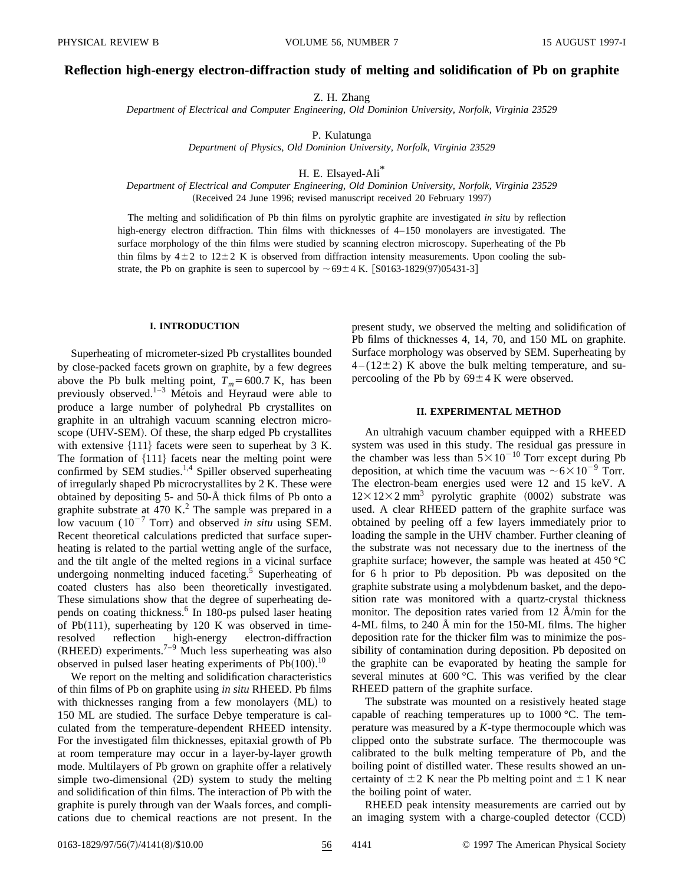#### **Reflection high-energy electron-diffraction study of melting and solidification of Pb on graphite**

Z. H. Zhang

*Department of Electrical and Computer Engineering, Old Dominion University, Norfolk, Virginia 23529*

P. Kulatunga

*Department of Physics, Old Dominion University, Norfolk, Virginia 23529*

H. E. Elsayed-Ali\*

*Department of Electrical and Computer Engineering, Old Dominion University, Norfolk, Virginia 23529* (Received 24 June 1996; revised manuscript received 20 February 1997)

The melting and solidification of Pb thin films on pyrolytic graphite are investigated *in situ* by reflection high-energy electron diffraction. Thin films with thicknesses of  $4-150$  monolayers are investigated. The surface morphology of the thin films were studied by scanning electron microscopy. Superheating of the Pb thin films by  $4\pm2$  to  $12\pm2$  K is observed from diffraction intensity measurements. Upon cooling the substrate, the Pb on graphite is seen to supercool by  $\sim 69 \pm 4$  K. [S0163-1829(97)05431-3]

#### **I. INTRODUCTION**

Superheating of micrometer-sized Pb crystallites bounded by close-packed facets grown on graphite, by a few degrees above the Pb bulk melting point,  $T_m$ =600.7 K, has been previously observed.<sup>1–3</sup> Métois and Heyraud were able to produce a large number of polyhedral Pb crystallites on graphite in an ultrahigh vacuum scanning electron microscope (UHV-SEM). Of these, the sharp edged Pb crystallites with extensive  $\{111\}$  facets were seen to superheat by 3 K. The formation of  ${111}$  facets near the melting point were confirmed by SEM studies.<sup>1,4</sup> Spiller observed superheating of irregularly shaped Pb microcrystallites by 2 K. These were obtained by depositing 5- and 50-Å thick films of Pb onto a graphite substrate at 470 K.<sup>2</sup> The sample was prepared in a low vacuum  $(10^{-7}$  Torr) and observed *in situ* using SEM. Recent theoretical calculations predicted that surface superheating is related to the partial wetting angle of the surface, and the tilt angle of the melted regions in a vicinal surface undergoing nonmelting induced faceting.<sup>5</sup> Superheating of coated clusters has also been theoretically investigated. These simulations show that the degree of superheating depends on coating thickness.<sup>6</sup> In 180-ps pulsed laser heating of Pb $(111)$ , superheating by 120 K was observed in timeresolved reflection high-energy electron-diffraction  $(RHEED)$  experiments.<sup>7–9</sup> Much less superheating was also observed in pulsed laser heating experiments of  $Pb(100).$ <sup>10</sup>

We report on the melting and solidification characteristics of thin films of Pb on graphite using *in situ* RHEED. Pb films with thicknesses ranging from a few monolayers (ML) to 150 ML are studied. The surface Debye temperature is calculated from the temperature-dependent RHEED intensity. For the investigated film thicknesses, epitaxial growth of Pb at room temperature may occur in a layer-by-layer growth mode. Multilayers of Pb grown on graphite offer a relatively simple two-dimensional (2D) system to study the melting and solidification of thin films. The interaction of Pb with the graphite is purely through van der Waals forces, and complications due to chemical reactions are not present. In the

present study, we observed the melting and solidification of Pb films of thicknesses 4, 14, 70, and 150 ML on graphite. Surface morphology was observed by SEM. Superheating by  $4-(12\pm2)$  K above the bulk melting temperature, and supercooling of the Pb by  $69 \pm 4$  K were observed.

#### **II. EXPERIMENTAL METHOD**

An ultrahigh vacuum chamber equipped with a RHEED system was used in this study. The residual gas pressure in the chamber was less than  $5 \times 10^{-10}$  Torr except during Pb deposition, at which time the vacuum was  $\sim 6 \times 10^{-9}$  Torr. The electron-beam energies used were 12 and 15 keV. A  $12\times12\times2$  mm<sup>3</sup> pyrolytic graphite (0002) substrate was used. A clear RHEED pattern of the graphite surface was obtained by peeling off a few layers immediately prior to loading the sample in the UHV chamber. Further cleaning of the substrate was not necessary due to the inertness of the graphite surface; however, the sample was heated at 450 °C for 6 h prior to Pb deposition. Pb was deposited on the graphite substrate using a molybdenum basket, and the deposition rate was monitored with a quartz-crystal thickness monitor. The deposition rates varied from 12 Å/min for the 4-ML films, to 240 Å min for the 150-ML films. The higher deposition rate for the thicker film was to minimize the possibility of contamination during deposition. Pb deposited on the graphite can be evaporated by heating the sample for several minutes at 600 °C. This was verified by the clear RHEED pattern of the graphite surface.

The substrate was mounted on a resistively heated stage capable of reaching temperatures up to 1000 °C. The temperature was measured by a *K*-type thermocouple which was clipped onto the substrate surface. The thermocouple was calibrated to the bulk melting temperature of Pb, and the boiling point of distilled water. These results showed an uncertainty of  $\pm 2$  K near the Pb melting point and  $\pm 1$  K near the boiling point of water.

RHEED peak intensity measurements are carried out by an imaging system with a charge-coupled detector  $(CCD)$ 

0163-1829/97/56(7)/4141(8)/\$10.00 56 4141 © 1997 The American Physical Society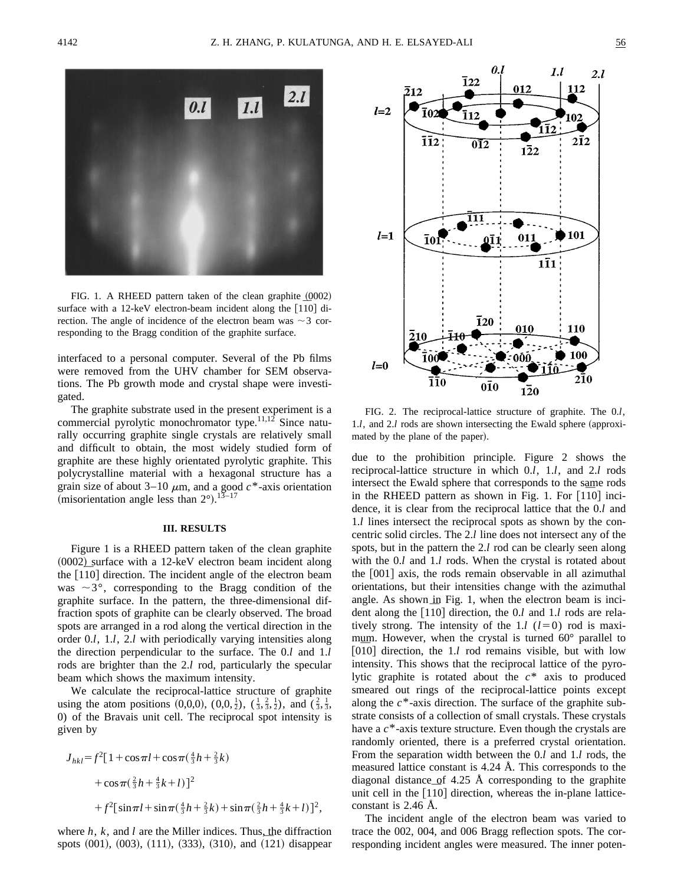

FIG. 1. A RHEED pattern taken of the clean graphite  $(0002)$ FIG. 1. A RHEED pattern taken of the clean graphite  $(0002)$ <br>surface with a 12-keV electron-beam incident along the  $[1\overline{1}0]$  direction. The angle of incidence of the electron beam was  $\sim$  3 corresponding to the Bragg condition of the graphite surface.

interfaced to a personal computer. Several of the Pb films were removed from the UHV chamber for SEM observations. The Pb growth mode and crystal shape were investigated.

The graphite substrate used in the present experiment is a commercial pyrolytic monochromator type.<sup>11,12</sup> Since naturally occurring graphite single crystals are relatively small and difficult to obtain, the most widely studied form of graphite are these highly orientated pyrolytic graphite. This polycrystalline material with a hexagonal structure has a grain size of about  $3-10 \mu m$ , and a good  $c^*$ -axis orientation (misorientation angle less than  $2^{\circ}$ ).<sup>13–17</sup>

#### **III. RESULTS**

Figure 1 is a RHEED pattern taken of the clean graphite  $(0002)$  surface with a 12-keV electron beam incident along  $(0002)$  surface with a 12-keV electron beam incident along the  $[110]$  direction. The incident angle of the electron beam was  $\sim$ 3°, corresponding to the Bragg condition of the graphite surface. In the pattern, the three-dimensional diffraction spots of graphite can be clearly observed. The broad spots are arranged in a rod along the vertical direction in the order 0.*l*, 1.*l*, 2.*l* with periodically varying intensities along the direction perpendicular to the surface. The 0.*l* and 1.*l* rods are brighter than the 2.*l* rod, particularly the specular beam which shows the maximum intensity.

We calculate the reciprocal-lattice structure of graphite using the atom positions (0,0,0),  $(0,0,\frac{1}{2})$ ,  $(\frac{1}{3},\frac{2}{3},\frac{1}{2})$ , and  $(\frac{2}{3},\frac{1}{3},\frac{1}{3})$ 0) of the Bravais unit cell. The reciprocal spot intensity is given by

$$
J_{hkl} = f^{2}[1 + \cos \pi l + \cos \pi (\frac{4}{3}h + \frac{2}{3}k)
$$
  
+  $\cos \pi (\frac{2}{3}h + \frac{4}{3}k + l)]^{2}$   
+  $f^{2}[\sin \pi l + \sin \pi (\frac{4}{3}h + \frac{2}{3}k) + \sin \pi (\frac{2}{3}h + \frac{4}{3}k + l)]^{2}$ ,

where *h*, *k*, and *l* are the Miller indices. Thus, the diffraction where  $h$ ,  $k$ , and  $l$  are the Miller indices. Thus, the diffraction spots  $(001)$ ,  $(003)$ ,  $(111)$ ,  $(333)$ ,  $(310)$ , and  $(121)$  disappear



FIG. 2. The reciprocal-lattice structure of graphite. The 0.*l*, 1.*l*, and 2.*l* rods are shown intersecting the Ewald sphere (approximated by the plane of the paper).

due to the prohibition principle. Figure 2 shows the reciprocal-lattice structure in which 0.*l*, 1.*l*, and 2.*l* rods intersect the Ewald sphere that corresponds to the same rods intersect the Ewald sphere that corresponds to the same rods<br>in the RHEED pattern as shown in Fig. 1. For  $[1\overline{1}0]$  incidence, it is clear from the reciprocal lattice that the 0.*l* and 1.*l* lines intersect the reciprocal spots as shown by the concentric solid circles. The 2.*l* line does not intersect any of the spots, but in the pattern the 2.*l* rod can be clearly seen along with the 0.*l* and 1.*l* rods. When the crystal is rotated about the  $[001]$  axis, the rods remain observable in all azimuthal orientations, but their intensities change with the azimuthal angle. As shown in Fig. 1, when the electron beam is inciangle. As shown in Fig. 1, when the electron beam is incident along the  $[1\overline{1}0]$  direction, the 0.*l* and 1.*l* rods are relatively strong. The intensity of the 1.*l*  $(l=0)$  rod is maximum. However, when the crystal is turned 60° parallel to mum. However, when the crystal is turned 60° parallel to  $[0\bar{1}0]$  direction, the 1.*l* rod remains visible, but with low intensity. This shows that the reciprocal lattice of the pyrolytic graphite is rotated about the *c*\* axis to produced smeared out rings of the reciprocal-lattice points except along the *c*\*-axis direction. The surface of the graphite substrate consists of a collection of small crystals. These crystals have a *c*\*-axis texture structure. Even though the crystals are randomly oriented, there is a preferred crystal orientation. From the separation width between the 0.*l* and 1.*l* rods, the measured lattice constant is 4.24 Å. This corresponds to the diagonal distance of 4.25 Å corresponding to the graphite diagonal distance of 4.25 A corresponding to the graphite<br>unit cell in the [110] direction, whereas the in-plane latticeconstant is 2.46 Å.

The incident angle of the electron beam was varied to trace the 002, 004, and 006 Bragg reflection spots. The corresponding incident angles were measured. The inner poten-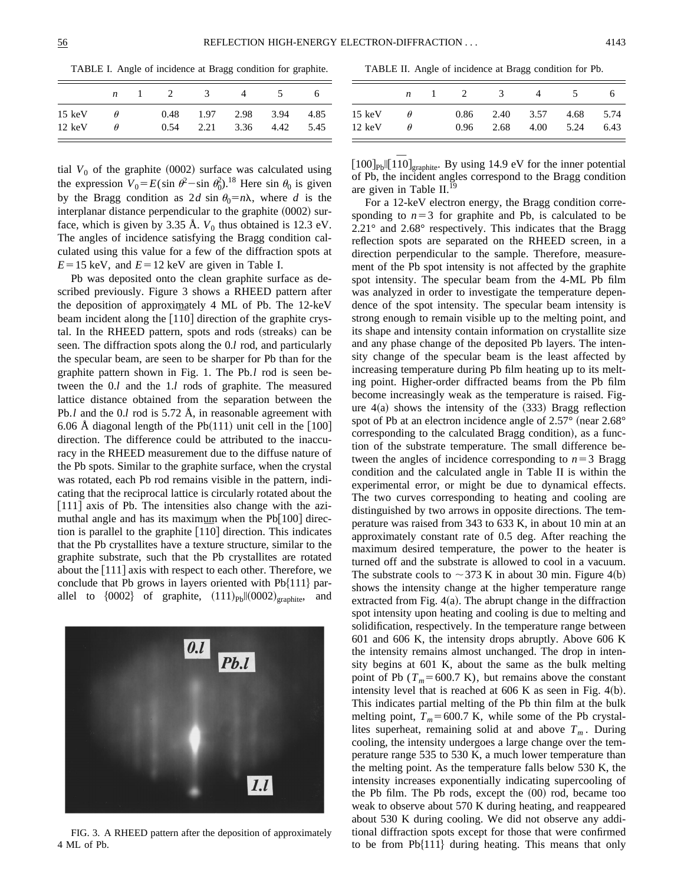TABLE I. Angle of incidence at Bragg condition for graphite.

|                  | n        | - 2  | - 3  |      | $\mathcal{D}$ |      |
|------------------|----------|------|------|------|---------------|------|
| $15 \text{ keV}$ | $\theta$ | 0.48 | 1.97 | 2.98 | 3.94          | 4.85 |
| $12 \text{ keV}$ | $\theta$ | 0.54 | 2.21 | 3.36 | 4.42          | 5.45 |

tial  $V_0$  of the graphite (0002) surface was calculated using the expression  $V_0 = E(\sin \theta^2 - \sin \theta_0^2)^{18}$  Here sin  $\theta_0$  is given by the Bragg condition as 2*d* sin  $\theta_0 = n\lambda$ , where *d* is the interplanar distance perpendicular to the graphite  $(0002)$  surface, which is given by 3.35 Å.  $V_0$  thus obtained is 12.3 eV. The angles of incidence satisfying the Bragg condition calculated using this value for a few of the diffraction spots at  $E=15$  keV, and  $E=12$  keV are given in Table I.

Pb was deposited onto the clean graphite surface as described previously. Figure 3 shows a RHEED pattern after the deposition of approximately 4 ML of Pb. The 12-keV the deposition of approximately 4 ML of Pb. The 12-keV beam incident along the  $[1\overline{1}0]$  direction of the graphite crystal. In the RHEED pattern, spots and rods (streaks) can be seen. The diffraction spots along the 0.*l* rod, and particularly the specular beam, are seen to be sharper for Pb than for the graphite pattern shown in Fig. 1. The Pb.*l* rod is seen between the 0.*l* and the 1.*l* rods of graphite. The measured lattice distance obtained from the separation between the Pb.*l* and the 0.*l* rod is 5.72 Å, in reasonable agreement with 6.06 Å diagonal length of the Pb $(111)$  unit cell in the  $[100]$ direction. The difference could be attributed to the inaccuracy in the RHEED measurement due to the diffuse nature of the Pb spots. Similar to the graphite surface, when the crystal was rotated, each Pb rod remains visible in the pattern, indicating that the reciprocal lattice is circularly rotated about the  $[111]$  axis of Pb. The intensities also change with the azimuthal angle and has its maximum when the  $Pb[100]$  direcmuthal angle and has its maximum when the Pb[100] direction is parallel to the graphite  $[1\overline{1}0]$  direction. This indicates that the Pb crystallites have a texture structure, similar to the graphite substrate, such that the Pb crystallites are rotated about the  $[111]$  axis with respect to each other. Therefore, we conclude that Pb grows in layers oriented with  $Pb{111}$  parallel to  ${0002}$  of graphite,  $(111)_{Pb}||(0002)_{graphite}$ , and



FIG. 3. A RHEED pattern after the deposition of approximately 4 ML of Pb.

TABLE II. Angle of incidence at Bragg condition for Pb.

|        | n        | - 2. | - 31 | 4    |      |      |
|--------|----------|------|------|------|------|------|
| 15 keV | $\theta$ | 0.86 | 2.40 | 3.57 | 4.68 | 5.74 |
| 12 keV | Ĥ        | 0.96 | 2.68 | 4.00 | 5.24 | 6.43 |

 $[100]_{\text{pb}}$ ||[1 $\overline{10}$ ]<sub>graphite</sub>. By using 14.9 eV for the inner potential of Pb, the incident angles correspond to the Bragg condition are given in Table II.<sup>19</sup>

For a 12-keV electron energy, the Bragg condition corresponding to  $n=3$  for graphite and Pb, is calculated to be 2.21° and 2.68° respectively. This indicates that the Bragg reflection spots are separated on the RHEED screen, in a direction perpendicular to the sample. Therefore, measurement of the Pb spot intensity is not affected by the graphite spot intensity. The specular beam from the 4-ML Pb film was analyzed in order to investigate the temperature dependence of the spot intensity. The specular beam intensity is strong enough to remain visible up to the melting point, and its shape and intensity contain information on crystallite size and any phase change of the deposited Pb layers. The intensity change of the specular beam is the least affected by increasing temperature during Pb film heating up to its melting point. Higher-order diffracted beams from the Pb film become increasingly weak as the temperature is raised. Figure  $4(a)$  shows the intensity of the  $(333)$  Bragg reflection spot of Pb at an electron incidence angle of  $2.57^{\circ}$  (near  $2.68^{\circ}$ ) corresponding to the calculated Bragg condition), as a function of the substrate temperature. The small difference between the angles of incidence corresponding to  $n=3$  Bragg condition and the calculated angle in Table II is within the experimental error, or might be due to dynamical effects. The two curves corresponding to heating and cooling are distinguished by two arrows in opposite directions. The temperature was raised from 343 to 633 K, in about 10 min at an approximately constant rate of 0.5 deg. After reaching the maximum desired temperature, the power to the heater is turned off and the substrate is allowed to cool in a vacuum. The substrate cools to  $\sim$  373 K in about 30 min. Figure 4(b) shows the intensity change at the higher temperature range extracted from Fig.  $4(a)$ . The abrupt change in the diffraction spot intensity upon heating and cooling is due to melting and solidification, respectively. In the temperature range between 601 and 606 K, the intensity drops abruptly. Above 606 K the intensity remains almost unchanged. The drop in intensity begins at 601 K, about the same as the bulk melting point of Pb  $(T_m=600.7 \text{ K})$ , but remains above the constant intensity level that is reached at  $606$  K as seen in Fig. 4(b). This indicates partial melting of the Pb thin film at the bulk melting point,  $T_m$ =600.7 K, while some of the Pb crystallites superheat, remaining solid at and above  $T_m$ . During cooling, the intensity undergoes a large change over the temperature range 535 to 530 K, a much lower temperature than the melting point. As the temperature falls below 530 K, the intensity increases exponentially indicating supercooling of the Pb film. The Pb rods, except the  $(00)$  rod, became too weak to observe about 570 K during heating, and reappeared about 530 K during cooling. We did not observe any additional diffraction spots except for those that were confirmed to be from  $Pb{111}$  during heating. This means that only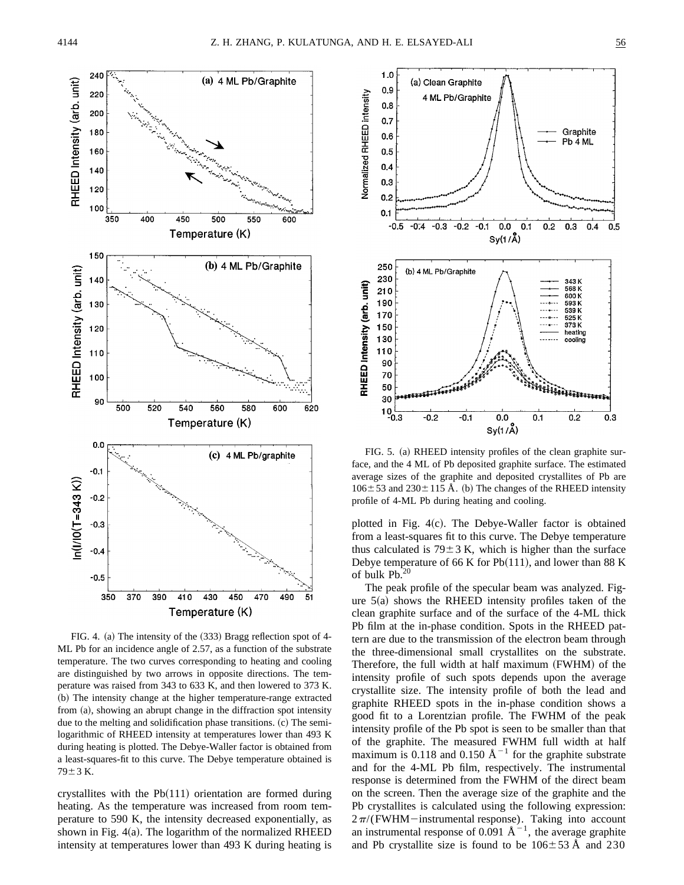

FIG. 4. (a) The intensity of the  $(333)$  Bragg reflection spot of 4-ML Pb for an incidence angle of 2.57, as a function of the substrate temperature. The two curves corresponding to heating and cooling are distinguished by two arrows in opposite directions. The temperature was raised from 343 to 633 K, and then lowered to 373 K. (b) The intensity change at the higher temperature-range extracted from  $(a)$ , showing an abrupt change in the diffraction spot intensity due to the melting and solidification phase transitions.  $(c)$  The semilogarithmic of RHEED intensity at temperatures lower than 493 K during heating is plotted. The Debye-Waller factor is obtained from a least-squares-fit to this curve. The Debye temperature obtained is  $79 \pm 3$  K.

crystallites with the  $Pb(111)$  orientation are formed during heating. As the temperature was increased from room temperature to 590 K, the intensity decreased exponentially, as shown in Fig.  $4(a)$ . The logarithm of the normalized RHEED intensity at temperatures lower than 493 K during heating is



FIG. 5. (a) RHEED intensity profiles of the clean graphite surface, and the 4 ML of Pb deposited graphite surface. The estimated average sizes of the graphite and deposited crystallites of Pb are  $106 \pm 53$  and  $230 \pm 115$  Å. (b) The changes of the RHEED intensity profile of 4-ML Pb during heating and cooling.

plotted in Fig.  $4(c)$ . The Debye-Waller factor is obtained from a least-squares fit to this curve. The Debye temperature thus calculated is  $79 \pm 3$  K, which is higher than the surface Debye temperature of 66 K for  $Pb(111)$ , and lower than 88 K of bulk  $Pb.20$ 

The peak profile of the specular beam was analyzed. Figure  $5(a)$  shows the RHEED intensity profiles taken of the clean graphite surface and of the surface of the 4-ML thick Pb film at the in-phase condition. Spots in the RHEED pattern are due to the transmission of the electron beam through the three-dimensional small crystallites on the substrate. Therefore, the full width at half maximum (FWHM) of the intensity profile of such spots depends upon the average crystallite size. The intensity profile of both the lead and graphite RHEED spots in the in-phase condition shows a good fit to a Lorentzian profile. The FWHM of the peak intensity profile of the Pb spot is seen to be smaller than that of the graphite. The measured FWHM full width at half maximum is 0.118 and 0.150  $\AA^{-1}$  for the graphite substrate and for the 4-ML Pb film, respectively. The instrumental response is determined from the FWHM of the direct beam on the screen. Then the average size of the graphite and the Pb crystallites is calculated using the following expression:  $2\pi$ /(FWHM-instrumental response). Taking into account an instrumental response of 0.091  $\AA^{-1}$ , the average graphite and Pb crystallite size is found to be  $106 \pm 53$  Å and 230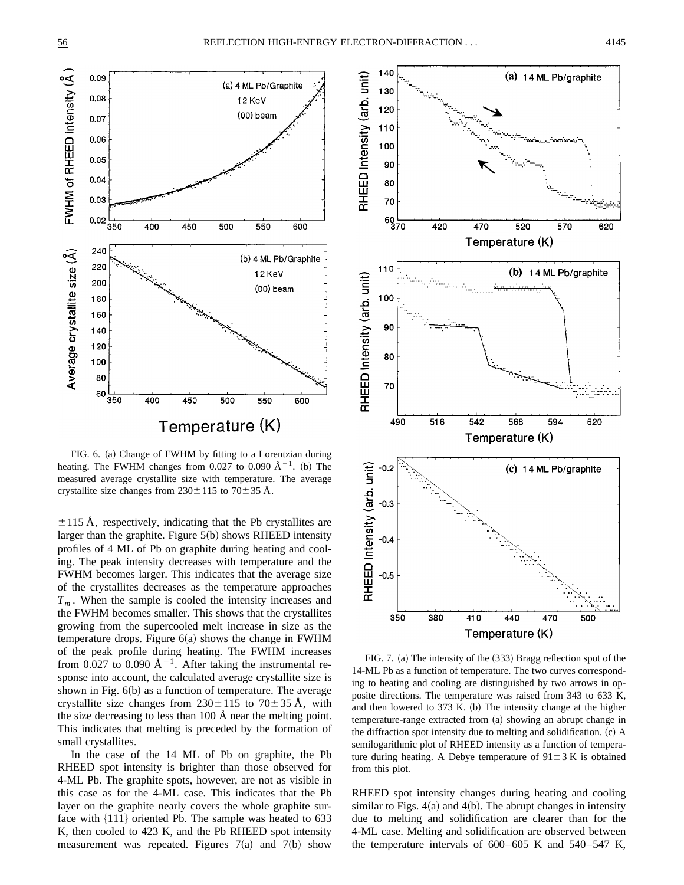

FIG. 6. (a) Change of FWHM by fitting to a Lorentzian during heating. The FWHM changes from 0.027 to 0.090  $\AA^{-1}$ . (b) The measured average crystallite size with temperature. The average crystallite size changes from  $230 \pm 115$  to  $70 \pm 35$  Å.

 $\pm$ 115 Å, respectively, indicating that the Pb crystallites are larger than the graphite. Figure  $5(b)$  shows RHEED intensity profiles of 4 ML of Pb on graphite during heating and cooling. The peak intensity decreases with temperature and the FWHM becomes larger. This indicates that the average size of the crystallites decreases as the temperature approaches *Tm* . When the sample is cooled the intensity increases and the FWHM becomes smaller. This shows that the crystallites growing from the supercooled melt increase in size as the temperature drops. Figure  $6(a)$  shows the change in FWHM of the peak profile during heating. The FWHM increases from 0.027 to 0.090  $\AA^{-1}$ . After taking the instrumental response into account, the calculated average crystallite size is shown in Fig.  $6(b)$  as a function of temperature. The average crystallite size changes from  $230 \pm 115$  to  $70 \pm 35$  Å, with the size decreasing to less than 100 Å near the melting point. This indicates that melting is preceded by the formation of small crystallites.

In the case of the 14 ML of Pb on graphite, the Pb RHEED spot intensity is brighter than those observed for 4-ML Pb. The graphite spots, however, are not as visible in this case as for the 4-ML case. This indicates that the Pb layer on the graphite nearly covers the whole graphite surface with  $\{111\}$  oriented Pb. The sample was heated to 633 K, then cooled to 423 K, and the Pb RHEED spot intensity measurement was repeated. Figures  $7(a)$  and  $7(b)$  show



FIG. 7. (a) The intensity of the (333) Bragg reflection spot of the 14-ML Pb as a function of temperature. The two curves corresponding to heating and cooling are distinguished by two arrows in opposite directions. The temperature was raised from 343 to 633 K, and then lowered to  $373$  K. (b) The intensity change at the higher temperature-range extracted from (a) showing an abrupt change in the diffraction spot intensity due to melting and solidification.  $(c)$  A semilogarithmic plot of RHEED intensity as a function of temperature during heating. A Debye temperature of  $91 \pm 3$  K is obtained from this plot.

RHEED spot intensity changes during heating and cooling similar to Figs.  $4(a)$  and  $4(b)$ . The abrupt changes in intensity due to melting and solidification are clearer than for the 4-ML case. Melting and solidification are observed between the temperature intervals of 600–605 K and 540–547 K,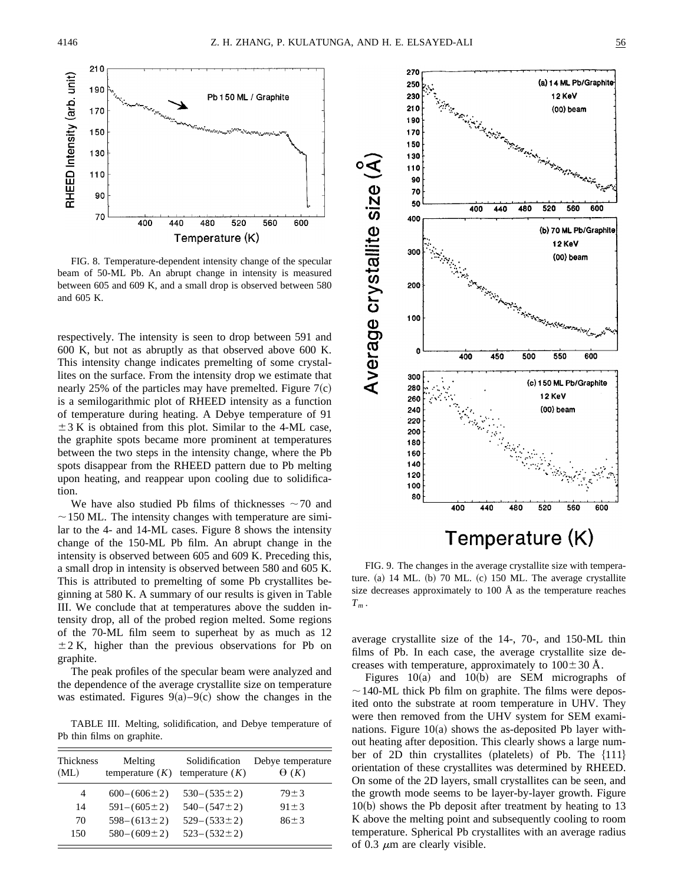

FIG. 8. Temperature-dependent intensity change of the specular beam of 50-ML Pb. An abrupt change in intensity is measured between 605 and 609 K, and a small drop is observed between 580 and 605 K.

respectively. The intensity is seen to drop between 591 and 600 K, but not as abruptly as that observed above 600 K. This intensity change indicates premelting of some crystallites on the surface. From the intensity drop we estimate that nearly 25% of the particles may have premelted. Figure  $7(c)$ is a semilogarithmic plot of RHEED intensity as a function of temperature during heating. A Debye temperature of 91  $\pm$  3 K is obtained from this plot. Similar to the 4-ML case, the graphite spots became more prominent at temperatures between the two steps in the intensity change, where the Pb spots disappear from the RHEED pattern due to Pb melting upon heating, and reappear upon cooling due to solidification.

We have also studied Pb films of thicknesses  $\sim$  70 and  $\sim$  150 ML. The intensity changes with temperature are similar to the 4- and 14-ML cases. Figure 8 shows the intensity change of the 150-ML Pb film. An abrupt change in the intensity is observed between 605 and 609 K. Preceding this, a small drop in intensity is observed between 580 and 605 K. This is attributed to premelting of some Pb crystallites beginning at 580 K. A summary of our results is given in Table III. We conclude that at temperatures above the sudden intensity drop, all of the probed region melted. Some regions of the 70-ML film seem to superheat by as much as 12  $\pm$  2 K, higher than the previous observations for Pb on graphite.

The peak profiles of the specular beam were analyzed and the dependence of the average crystallite size on temperature was estimated. Figures  $9(a) - 9(c)$  show the changes in the

TABLE III. Melting, solidification, and Debye temperature of Pb thin films on graphite.

| <b>Thickness</b><br>(ML) | Melting<br>temperature $(K)$ | Solidification<br>temperature $(K)$ | Debye temperature<br>$\Theta(K)$ |
|--------------------------|------------------------------|-------------------------------------|----------------------------------|
| $\overline{4}$           | $600-(606\pm2)$              | $530-(535\pm2)$                     | $79 \pm 3$                       |
| 14                       | $591 - (605 \pm 2)$          | $540 - (547 \pm 2)$                 | $91 \pm 3$                       |
| 70                       | $598 - (613 \pm 2)$          | $529 - (533 \pm 2)$                 | $86 \pm 3$                       |
| 150                      | $580-(609\pm2)$              | $523 - (532 \pm 2)$                 |                                  |



FIG. 9. The changes in the average crystallite size with temperature.  $(a)$  14 ML.  $(b)$  70 ML.  $(c)$  150 ML. The average crystallite size decreases approximately to 100 Å as the temperature reaches  $T_m$ .

average crystallite size of the 14-, 70-, and 150-ML thin films of Pb. In each case, the average crystallite size decreases with temperature, approximately to  $100 \pm 30$  Å.

Figures  $10(a)$  and  $10(b)$  are SEM micrographs of  $\sim$  140-ML thick Pb film on graphite. The films were deposited onto the substrate at room temperature in UHV. They were then removed from the UHV system for SEM examinations. Figure  $10(a)$  shows the as-deposited Pb layer without heating after deposition. This clearly shows a large number of 2D thin crystallites (platelets) of Pb. The  ${111}$ orientation of these crystallites was determined by RHEED. On some of the 2D layers, small crystallites can be seen, and the growth mode seems to be layer-by-layer growth. Figure  $10(b)$  shows the Pb deposit after treatment by heating to 13 K above the melting point and subsequently cooling to room temperature. Spherical Pb crystallites with an average radius of 0.3  $\mu$ m are clearly visible.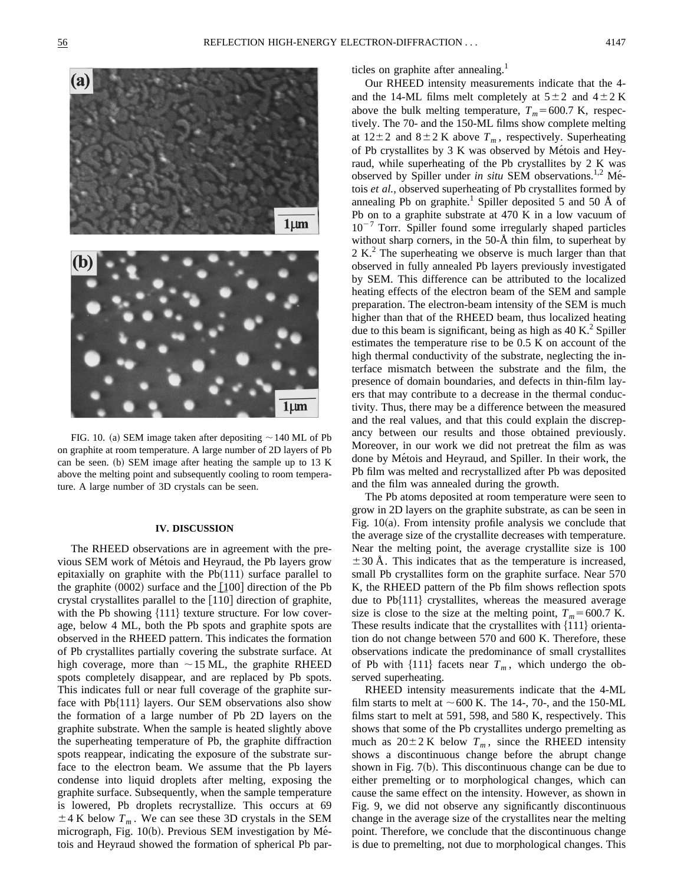

FIG. 10. (a) SEM image taken after depositing  $\sim$  140 ML of Pb on graphite at room temperature. A large number of 2D layers of Pb can be seen. (b) SEM image after heating the sample up to  $13 \text{ K}$ above the melting point and subsequently cooling to room temperature. A large number of 3D crystals can be seen.

#### **IV. DISCUSSION**

The RHEED observations are in agreement with the previous SEM work of Métois and Heyraud, the Pb layers grow epitaxially on graphite with the  $Pb(111)$  surface parallel to the graphite  $(0002)$  surface and the  $[100]$  direction of the Pb the graphite (0002) surface and the  $\lfloor 100 \rfloor$  direction of the Pb crystal crystallites parallel to the  $\lfloor 110 \rfloor$  direction of graphite, with the Pb showing  $\{111\}$  texture structure. For low coverage, below 4 ML, both the Pb spots and graphite spots are observed in the RHEED pattern. This indicates the formation of Pb crystallites partially covering the substrate surface. At high coverage, more than  $\sim$  15 ML, the graphite RHEED spots completely disappear, and are replaced by Pb spots. This indicates full or near full coverage of the graphite surface with  $Pb{111}$  layers. Our SEM observations also show the formation of a large number of Pb 2D layers on the graphite substrate. When the sample is heated slightly above the superheating temperature of Pb, the graphite diffraction spots reappear, indicating the exposure of the substrate surface to the electron beam. We assume that the Pb layers condense into liquid droplets after melting, exposing the graphite surface. Subsequently, when the sample temperature is lowered, Pb droplets recrystallize. This occurs at 69  $\pm$  4 K below  $T_m$ . We can see these 3D crystals in the SEM micrograph, Fig. 10(b). Previous SEM investigation by Métois and Heyraud showed the formation of spherical Pb particles on graphite after annealing.<sup>1</sup>

Our RHEED intensity measurements indicate that the 4 and the 14-ML films melt completely at  $5\pm 2$  and  $4\pm 2$  K above the bulk melting temperature,  $T_m$ =600.7 K, respectively. The 70- and the 150-ML films show complete melting at  $12\pm2$  and  $8\pm2$  K above  $T_m$ , respectively. Superheating of Pb crystallites by  $3 K$  was observed by Métois and Heyraud, while superheating of the Pb crystallites by 2 K was observed by Spiller under *in situ* SEM observations.<sup>1,2</sup> Métois *et al.*, observed superheating of Pb crystallites formed by annealing Pb on graphite.<sup>1</sup> Spiller deposited 5 and 50  $\AA$  of Pb on to a graphite substrate at 470 K in a low vacuum of  $10^{-7}$  Torr. Spiller found some irregularly shaped particles without sharp corners, in the 50-Å thin film, to superheat by  $2 K<sup>2</sup>$ . The superheating we observe is much larger than that observed in fully annealed Pb layers previously investigated by SEM. This difference can be attributed to the localized heating effects of the electron beam of the SEM and sample preparation. The electron-beam intensity of the SEM is much higher than that of the RHEED beam, thus localized heating due to this beam is significant, being as high as  $40 \text{ K}$ .<sup>2</sup> Spiller estimates the temperature rise to be 0.5 K on account of the high thermal conductivity of the substrate, neglecting the interface mismatch between the substrate and the film, the presence of domain boundaries, and defects in thin-film layers that may contribute to a decrease in the thermal conductivity. Thus, there may be a difference between the measured and the real values, and that this could explain the discrepancy between our results and those obtained previously. Moreover, in our work we did not pretreat the film as was done by Métois and Heyraud, and Spiller. In their work, the Pb film was melted and recrystallized after Pb was deposited and the film was annealed during the growth.

The Pb atoms deposited at room temperature were seen to grow in 2D layers on the graphite substrate, as can be seen in Fig.  $10(a)$ . From intensity profile analysis we conclude that the average size of the crystallite decreases with temperature. Near the melting point, the average crystallite size is 100  $\pm$  30 Å. This indicates that as the temperature is increased, small Pb crystallites form on the graphite surface. Near 570 K, the RHEED pattern of the Pb film shows reflection spots due to  $Pb{111}$  crystallites, whereas the measured average size is close to the size at the melting point,  $T_m$ =600.7 K. These results indicate that the crystallites with  ${111}$  orientation do not change between 570 and 600 K. Therefore, these observations indicate the predominance of small crystallites of Pb with  $\{111\}$  facets near  $T_m$ , which undergo the observed superheating.

RHEED intensity measurements indicate that the 4-ML film starts to melt at  $\sim$  600 K. The 14-, 70-, and the 150-ML films start to melt at 591, 598, and 580 K, respectively. This shows that some of the Pb crystallites undergo premelting as much as  $20 \pm 2$  K below  $T_m$ , since the RHEED intensity shows a discontinuous change before the abrupt change shown in Fig.  $7(b)$ . This discontinuous change can be due to either premelting or to morphological changes, which can cause the same effect on the intensity. However, as shown in Fig. 9, we did not observe any significantly discontinuous change in the average size of the crystallites near the melting point. Therefore, we conclude that the discontinuous change is due to premelting, not due to morphological changes. This